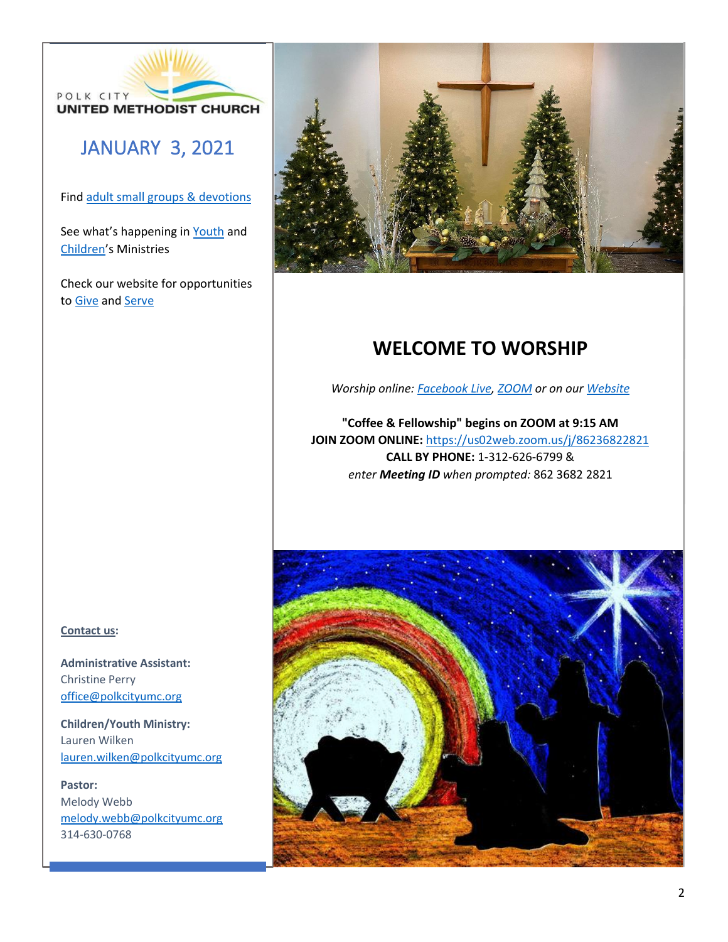

# JANUARY 3, 2021

Fin[d adult small groups & devotions](about:blank)

See what's happening in [Youth](about:blank) and [Children](about:blank)'s Ministries

Check our website for opportunities to [Give](about:blank) an[d Serve](about:blank)



# **WELCOME TO WORSHIP**

*Worship online: [Facebook Live, ZOOM](about:blank) or on our [Website](about:blank)*

**"Coffee & Fellowship" begins on ZOOM at 9:15 AM JOIN ZOOM ONLINE:** [https://us02web.zoom.us/j/86236822821](about:blank) **CALL BY PHONE:** 1-312-626-6799 & *enter Meeting ID when prompted:* 862 3682 2821



**Administrative Assistant:**  Christine Perry [office@polkcityumc.org](about:blank)

**Children/Youth Ministry:**  Lauren Wilken [lauren.wilken@polkcityumc.org](about:blank)

**Pastor:** Melody Webb [melody.webb@polkcityumc.org](about:blank) 314-630-0768

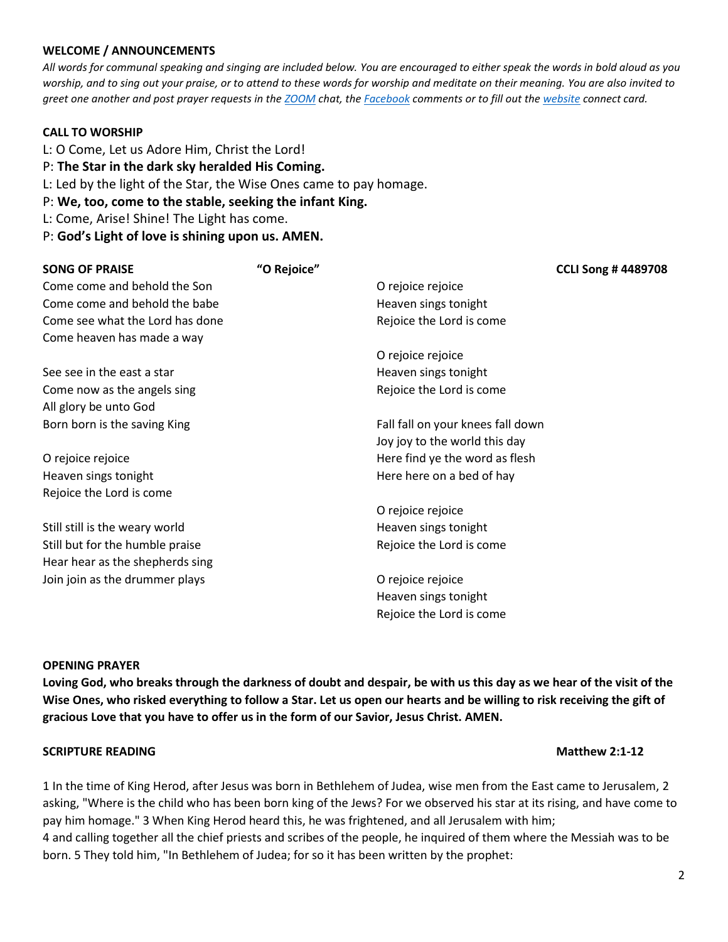# **WELCOME / ANNOUNCEMENTS**

*All words for communal speaking and singing are included below. You are encouraged to either speak the words in bold aloud as you worship, and to sing out your praise, or to attend to these words for worship and meditate on their meaning. You are also invited to greet one another and post prayer requests in the [ZOOM](about:blank) chat, the [Facebook](about:blank) comments or to fill out th[e website](about:blank) connect card.*

# **CALL TO WORSHIP**

- L: O Come, Let us Adore Him, Christ the Lord! P: **The Star in the dark sky heralded His Coming.** L: Led by the light of the Star, the Wise Ones came to pay homage. P: **We, too, come to the stable, seeking the infant King.**
- L: Come, Arise! Shine! The Light has come.
- P: **God's Light of love is shining upon us. AMEN.**

| <b>SONG OF PRAISE</b>           | "O Rejoice" |                                   | <b>CCLI Song #4489708</b> |
|---------------------------------|-------------|-----------------------------------|---------------------------|
| Come come and behold the Son    |             | O rejoice rejoice                 |                           |
| Come come and behold the babe   |             | Heaven sings tonight              |                           |
| Come see what the Lord has done |             | Rejoice the Lord is come          |                           |
| Come heaven has made a way      |             |                                   |                           |
|                                 |             | O rejoice rejoice                 |                           |
| See see in the east a star      |             | Heaven sings tonight              |                           |
| Come now as the angels sing     |             | Rejoice the Lord is come          |                           |
| All glory be unto God           |             |                                   |                           |
| Born born is the saving King    |             | Fall fall on your knees fall down |                           |
|                                 |             | Joy joy to the world this day     |                           |
| O rejoice rejoice               |             | Here find ye the word as flesh    |                           |
| Heaven sings tonight            |             | Here here on a bed of hay         |                           |
| Rejoice the Lord is come        |             |                                   |                           |
|                                 |             | O rejoice rejoice                 |                           |
| Still still is the weary world  |             | Heaven sings tonight              |                           |
| Still but for the humble praise |             | Rejoice the Lord is come          |                           |
| Hear hear as the shepherds sing |             |                                   |                           |
| Join join as the drummer plays  |             | O rejoice rejoice                 |                           |
|                                 |             | Heaven sings tonight              |                           |
|                                 |             | Rejoice the Lord is come          |                           |

## **OPENING PRAYER**

**Loving God, who breaks through the darkness of doubt and despair, be with us this day as we hear of the visit of the Wise Ones, who risked everything to follow a Star. Let us open our hearts and be willing to risk receiving the gift of gracious Love that you have to offer us in the form of our Savior, Jesus Christ. AMEN.**

## **SCRIPTURE READING Matthew 2:1-12**

# 1 In the time of King Herod, after Jesus was born in Bethlehem of Judea, wise men from the East came to Jerusalem, 2 asking, "Where is the child who has been born king of the Jews? For we observed his star at its rising, and have come to pay him homage." 3 When King Herod heard this, he was frightened, and all Jerusalem with him; 4 and calling together all the chief priests and scribes of the people, he inquired of them where the Messiah was to be born. 5 They told him, "In Bethlehem of Judea; for so it has been written by the prophet: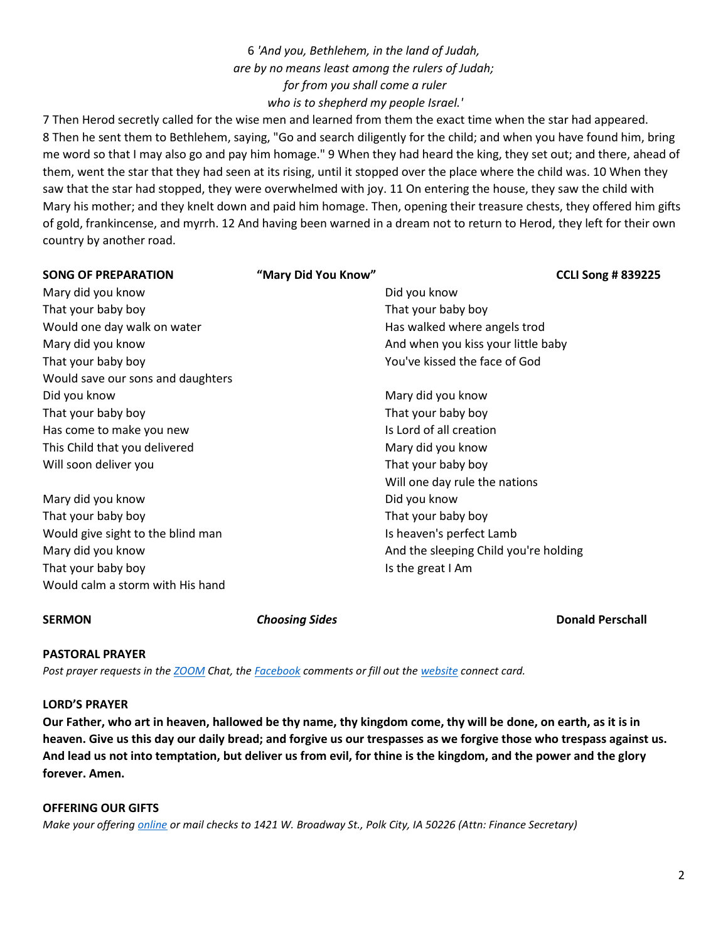# 6 *'And you, Bethlehem, in the land of Judah, are by no means least among the rulers of Judah; for from you shall come a ruler who is to shepherd my people Israel.'*

7 Then Herod secretly called for the wise men and learned from them the exact time when the star had appeared. 8 Then he sent them to Bethlehem, saying, "Go and search diligently for the child; and when you have found him, bring me word so that I may also go and pay him homage." 9 When they had heard the king, they set out; and there, ahead of them, went the star that they had seen at its rising, until it stopped over the place where the child was. 10 When they saw that the star had stopped, they were overwhelmed with joy. 11 On entering the house, they saw the child with Mary his mother; and they knelt down and paid him homage. Then, opening their treasure chests, they offered him gifts of gold, frankincense, and myrrh. 12 And having been warned in a dream not to return to Herod, they left for their own country by another road.

| <b>SONG OF PREPARATION</b>        | "Mary Did You Know" |                                       | <b>CCLI Song #839225</b> |
|-----------------------------------|---------------------|---------------------------------------|--------------------------|
| Mary did you know                 |                     | Did you know                          |                          |
| That your baby boy                |                     | That your baby boy                    |                          |
| Would one day walk on water       |                     | Has walked where angels trod          |                          |
| Mary did you know                 |                     | And when you kiss your little baby    |                          |
| That your baby boy                |                     | You've kissed the face of God         |                          |
| Would save our sons and daughters |                     |                                       |                          |
| Did you know                      |                     | Mary did you know                     |                          |
| That your baby boy                |                     | That your baby boy                    |                          |
| Has come to make you new          |                     | Is Lord of all creation               |                          |
| This Child that you delivered     |                     | Mary did you know                     |                          |
| Will soon deliver you             |                     | That your baby boy                    |                          |
|                                   |                     | Will one day rule the nations         |                          |
| Mary did you know                 |                     | Did you know                          |                          |
| That your baby boy                |                     | That your baby boy                    |                          |
| Would give sight to the blind man |                     | Is heaven's perfect Lamb              |                          |
| Mary did you know                 |                     | And the sleeping Child you're holding |                          |
| That your baby boy                |                     | Is the great I Am                     |                          |
| Would calm a storm with His hand  |                     |                                       |                          |

**SERMON Choosing Sides Donald Perschall** 

## **PASTORAL PRAYER**

*Post prayer requests in the [ZOOM](about:blank) Chat, the [Facebook](about:blank) comments or fill out the [website](about:blank) connect card.*

## **LORD'S PRAYER**

**Our Father, who art in heaven, hallowed be thy name, thy kingdom come, thy will be done, on earth, as it is in heaven. Give us this day our daily bread; and forgive us our trespasses as we forgive those who trespass against us. And lead us not into temptation, but deliver us from evil, for thine is the kingdom, and the power and the glory forever. Amen.**

# **OFFERING OUR GIFTS**

*Make your offering [online](about:blank) or mail checks to 1421 W. Broadway St., Polk City, IA 50226 (Attn: Finance Secretary)*